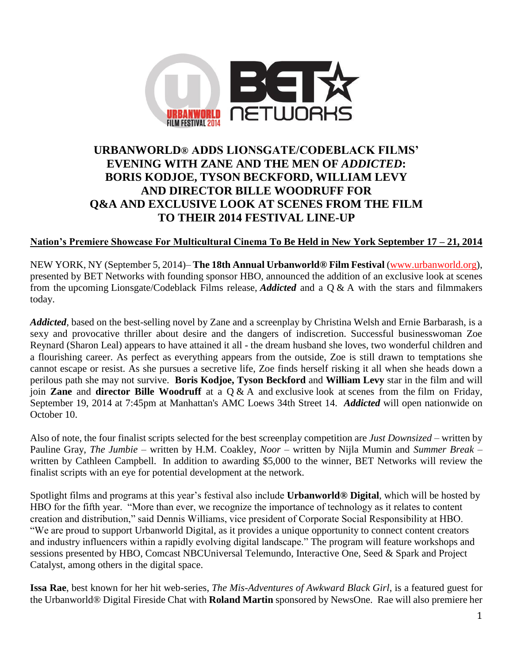

# **URBANWORLD® ADDS LIONSGATE/CODEBLACK FILMS' EVENING WITH ZANE AND THE MEN OF** *ADDICTED***: BORIS KODJOE, TYSON BECKFORD, WILLIAM LEVY AND DIRECTOR BILLE WOODRUFF FOR Q&A AND EXCLUSIVE LOOK AT SCENES FROM THE FILM TO THEIR 2014 FESTIVAL LINE-UP**

# **Nation's Premiere Showcase For Multicultural Cinema To Be Held in New York September 17 – 21, 2014**

NEW YORK, NY (September 5, 2014)– **The 18th Annual Urbanworld® Film Festival** [\(www.urbanworld.org\)](http://www.urbanworld.org/), presented by BET Networks with founding sponsor HBO, announced the addition of an exclusive look at scenes from the upcoming Lionsgate/Codeblack Films release, *Addicted* and a Q & A with the stars and filmmakers today.

*Addicted*, based on the best-selling novel by Zane and a screenplay by Christina Welsh and Ernie Barbarash, is a sexy and provocative thriller about desire and the dangers of indiscretion. Successful businesswoman Zoe Reynard (Sharon Leal) appears to have attained it all - the dream husband she loves, two wonderful children and a flourishing career. As perfect as everything appears from the outside, Zoe is still drawn to temptations she cannot escape or resist. As she pursues a secretive life, Zoe finds herself risking it all when she heads down a perilous path she may not survive. **Boris Kodjoe, Tyson Beckford** and **William Levy** star in the film and will join **Zane** and **director Bille Woodruff** at a Q & A and exclusive look at scenes from the film on Friday, September 19, 2014 at 7:45pm at Manhattan's AMC Loews 34th Street 14. *Addicted* will open nationwide on October 10.

Also of note, the four finalist scripts selected for the best screenplay competition are *Just Downsized* – written by Pauline Gray, *The Jumbie* – written by H.M. Coakley, *Noor* – written by Nijla Mumin and *Summer Break* – written by Cathleen Campbell. In addition to awarding \$5,000 to the winner, BET Networks will review the finalist scripts with an eye for potential development at the network.

Spotlight films and programs at this year's festival also include **Urbanworld® Digital**, which will be hosted by HBO for the fifth year. "More than ever, we recognize the importance of technology as it relates to content creation and distribution," said Dennis Williams, vice president of Corporate Social Responsibility at HBO. "We are proud to support Urbanworld Digital, as it provides a unique opportunity to connect content creators and industry influencers within a rapidly evolving digital landscape." The program will feature workshops and sessions presented by HBO, Comcast NBCUniversal Telemundo, Interactive One, Seed & Spark and Project Catalyst, among others in the digital space.

**Issa Rae**, best known for her hit web-series, *The Mis-Adventures of Awkward Black Girl*, is a featured guest for the Urbanworld® Digital Fireside Chat with **Roland Martin** sponsored by NewsOne. Rae will also premiere her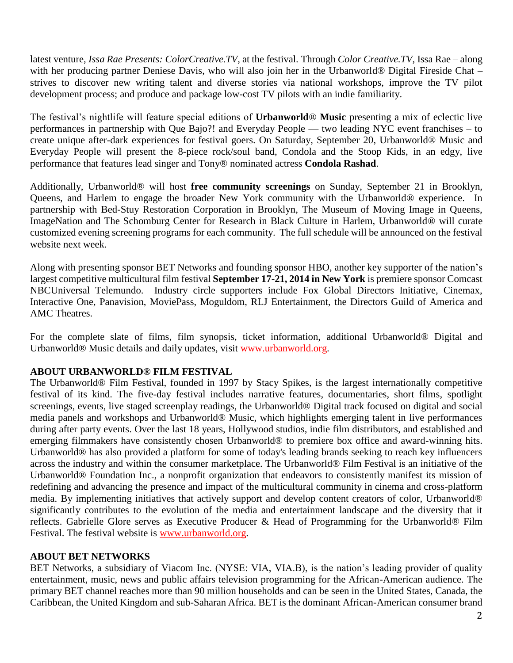latest venture, *Issa Rae Presents: ColorCreative.TV*, at the festival. Through *Color Creative.TV*, Issa Rae – along with her producing partner Deniese Davis, who will also join her in the Urbanworld® Digital Fireside Chat – strives to discover new writing talent and diverse stories via national workshops, improve the TV pilot development process; and produce and package low-cost TV pilots with an indie familiarity.

The festival's nightlife will feature special editions of **Urbanworld**® **Music** presenting a mix of eclectic live performances in partnership with Que Bajo?! and Everyday People — two leading NYC event franchises – to create unique after-dark experiences for festival goers. On Saturday, September 20, Urbanworld® Music and Everyday People will present the 8-piece rock/soul band, Condola and the Stoop Kids, in an edgy, live performance that features lead singer and Tony® nominated actress **Condola Rashad**.

Additionally, Urbanworld® will host **free community screenings** on Sunday, September 21 in Brooklyn, Queens, and Harlem to engage the broader New York community with the Urbanworld® experience. In partnership with Bed-Stuy Restoration Corporation in Brooklyn, The Museum of Moving Image in Queens, ImageNation and The Schomburg Center for Research in Black Culture in Harlem, Urbanworld® will curate customized evening screening programs for each community. The full schedule will be announced on the festival website next week.

Along with presenting sponsor BET Networks and founding sponsor HBO, another key supporter of the nation's largest competitive multicultural film festival **September 17-21, 2014 in New York** is premiere sponsor Comcast NBCUniversal Telemundo. Industry circle supporters include Fox Global Directors Initiative, Cinemax, Interactive One, Panavision, MoviePass, Moguldom, RLJ Entertainment, the Directors Guild of America and AMC Theatres.

For the complete slate of films, film synopsis, ticket information, additional Urbanworld® Digital and Urbanworld® Music details and daily updates, visit [www.urbanworld.org.](http://www.urbanworld.org/)

# **ABOUT URBANWORLD® FILM FESTIVAL**

The Urbanworld® Film Festival, founded in 1997 by Stacy Spikes, is the largest internationally competitive festival of its kind. The five-day festival includes narrative features, documentaries, short films, spotlight screenings, events, live staged screenplay readings, the Urbanworld® Digital track focused on digital and social media panels and workshops and Urbanworld® Music, which highlights emerging talent in live performances during after party events. Over the last 18 years, Hollywood studios, indie film distributors, and established and emerging filmmakers have consistently chosen Urbanworld® to premiere box office and award-winning hits. Urbanworld® has also provided a platform for some of today's leading brands seeking to reach key influencers across the industry and within the consumer marketplace. The Urbanworld® Film Festival is an initiative of the Urbanworld® Foundation Inc., a nonprofit organization that endeavors to consistently manifest its mission of redefining and advancing the presence and impact of the multicultural community in cinema and cross-platform media. By implementing initiatives that actively support and develop content creators of color, Urbanworld® significantly contributes to the evolution of the media and entertainment landscape and the diversity that it reflects. Gabrielle Glore serves as Executive Producer & Head of Programming for the Urbanworld® Film Festival. The festival website is [www.urbanworld.org.](http://www.urbanworld.org/)

# **ABOUT BET NETWORKS**

BET Networks, a subsidiary of Viacom Inc. (NYSE: VIA, VIA.B), is the nation's leading provider of quality entertainment, music, news and public affairs television programming for the African-American audience. The primary BET channel reaches more than 90 million households and can be seen in the United States, Canada, the Caribbean, the United Kingdom and sub-Saharan Africa. BET is the dominant African-American consumer brand